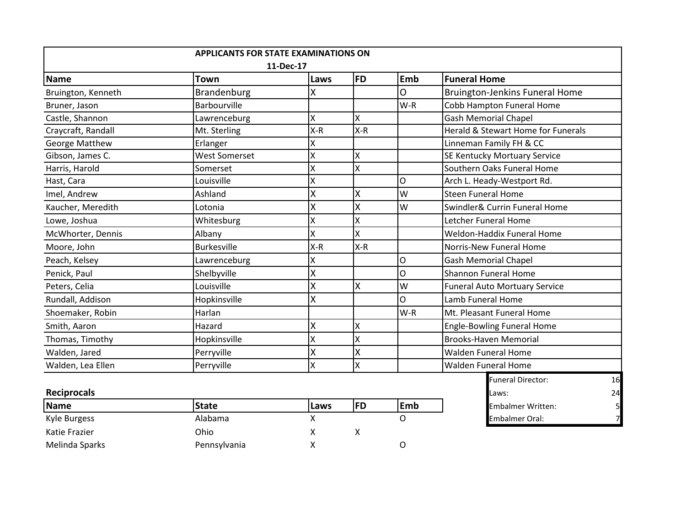|                       | <b>APPLICANTS FOR STATE EXAMINATIONS ON</b> |       |           |          |                                      |  |  |  |  |  |
|-----------------------|---------------------------------------------|-------|-----------|----------|--------------------------------------|--|--|--|--|--|
| 11-Dec-17             |                                             |       |           |          |                                      |  |  |  |  |  |
| Name                  | <b>Town</b>                                 | Laws  | <b>FD</b> | Emb      | <b>Funeral Home</b>                  |  |  |  |  |  |
| Bruington, Kenneth    | Brandenburg                                 | Χ     |           | 0        | Bruington-Jenkins Funeral Home       |  |  |  |  |  |
| Bruner, Jason         | <b>Barbourville</b>                         |       |           | $W-R$    | Cobb Hampton Funeral Home            |  |  |  |  |  |
| Castle, Shannon       | Lawrenceburg                                | X     | X         |          | <b>Gash Memorial Chapel</b>          |  |  |  |  |  |
| Craycraft, Randall    | Mt. Sterling                                | $X-R$ | $X-R$     |          | Herald & Stewart Home for Funerals   |  |  |  |  |  |
| <b>George Matthew</b> | Erlanger                                    | X     |           |          | Linneman Family FH & CC              |  |  |  |  |  |
| Gibson, James C.      | <b>West Somerset</b>                        | Χ     | Χ         |          | SE Kentucky Mortuary Service         |  |  |  |  |  |
| Harris, Harold        | Somerset                                    | X     | X         |          | Southern Oaks Funeral Home           |  |  |  |  |  |
| Hast, Cara            | Louisville                                  | X     |           | Ο        | Arch L. Heady-Westport Rd.           |  |  |  |  |  |
| Imel, Andrew          | Ashland                                     | X     | X         | W        | <b>Steen Funeral Home</b>            |  |  |  |  |  |
| Kaucher, Meredith     | Lotonia                                     | X     | X         | W        | Swindler& Currin Funeral Home        |  |  |  |  |  |
| Lowe, Joshua          | Whitesburg                                  | Χ     | X         |          | Letcher Funeral Home                 |  |  |  |  |  |
| McWhorter, Dennis     | Albany                                      | X     | X         |          | Weldon-Haddix Funeral Home           |  |  |  |  |  |
| Moore, John           | <b>Burkesville</b>                          | $X-R$ | $X-R$     |          | Norris-New Funeral Home              |  |  |  |  |  |
| Peach, Kelsey         | Lawrenceburg                                | Χ     |           | O        | <b>Gash Memorial Chapel</b>          |  |  |  |  |  |
| Penick, Paul          | Shelbyville                                 | X     |           | O        | <b>Shannon Funeral Home</b>          |  |  |  |  |  |
| Peters, Celia         | Louisville                                  | X     | X         | W        | <b>Funeral Auto Mortuary Service</b> |  |  |  |  |  |
| Rundall, Addison      | Hopkinsville                                | X     |           | $\Omega$ | Lamb Funeral Home                    |  |  |  |  |  |
| Shoemaker, Robin      | Harlan                                      |       |           | $W-R$    | Mt. Pleasant Funeral Home            |  |  |  |  |  |
| Smith, Aaron          | Hazard                                      | X     | Χ         |          | <b>Engle-Bowling Funeral Home</b>    |  |  |  |  |  |
| Thomas, Timothy       | Hopkinsville                                | X     | X         |          | <b>Brooks-Haven Memorial</b>         |  |  |  |  |  |
| Walden, Jared         | Perryville                                  | X     | X         |          | <b>Walden Funeral Home</b>           |  |  |  |  |  |
| Walden, Lea Ellen     | Perryville                                  | X     | X         |          | <b>Walden Funeral Home</b>           |  |  |  |  |  |
|                       |                                             |       |           |          | F<br>AC                              |  |  |  |  |  |

| Name           | <b>State</b> | <b>Laws</b> | FD | <b>IEmb</b> |
|----------------|--------------|-------------|----|-------------|
| Kyle Burgess   | Alabama      |             |    |             |
| Katie Frazier  | Ohio         |             |    |             |
| Melinda Sparks | Pennsylvania |             |    |             |

| Walden, Lea Ellen  | Perryville   |              | IΧ        |             | <b>Walden Funeral Home</b> |                          |    |
|--------------------|--------------|--------------|-----------|-------------|----------------------------|--------------------------|----|
|                    |              |              |           |             |                            | <b>Funeral Director:</b> | 16 |
| <b>Reciprocals</b> |              | <b>Laws:</b> | 24        |             |                            |                          |    |
| <b>Name</b>        | <b>State</b> | Laws         | <b>FD</b> | <b>lEmb</b> |                            | <b>Embalmer Written:</b> |    |
| Kyle Burgess       | Alabama      |              |           |             |                            | <b>Embalmer Oral:</b>    |    |